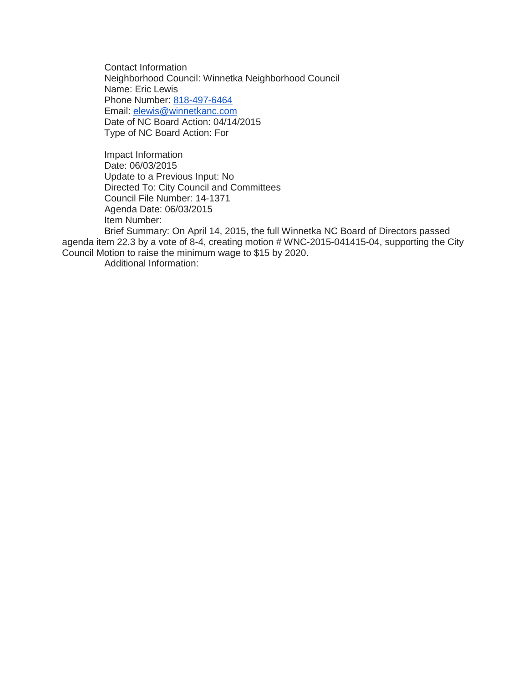Contact Information Neighborhood Council: Winnetka Neighborhood Council Name: Eric Lewis Phone Number: [818-497-6464](tel:818-497-6464) Email: [elewis@winnetkanc.com](mailto:elewis@winnetkanc.com) Date of NC Board Action: 04/14/2015 Type of NC Board Action: For

Impact Information Date: 06/03/2015 Update to a Previous Input: No Directed To: City Council and Committees Council File Number: 14-1371 Agenda Date: 06/03/2015 Item Number:

Brief Summary: On April 14, 2015, the full Winnetka NC Board of Directors passed agenda item 22.3 by a vote of 8-4, creating motion # WNC-2015-041415-04, supporting the City Council Motion to raise the minimum wage to \$15 by 2020.

Additional Information: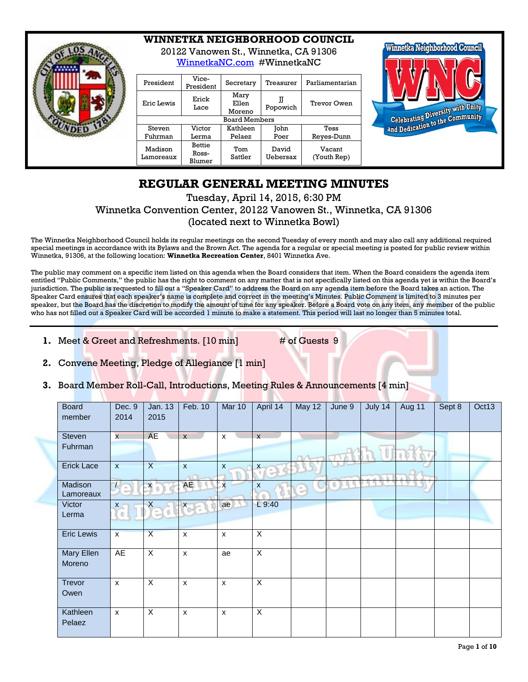

## **WINNETKA NEIGHBORHOOD COUNCIL**

20122 Vanowen St., Winnetka, CA 91306 [WinnetkaNC.com](http://www.winnetkanc.com/) #WinnetkaNC

| President            | Vice-<br>President               | Secretary               | Treasurer         | Parliamentarian       |
|----------------------|----------------------------------|-------------------------|-------------------|-----------------------|
| Eric Lewis           | Erick<br>Lace                    | Mary<br>Ellen<br>Moreno | Popowich          | Trevor Owen           |
|                      |                                  | <b>Board Members</b>    |                   |                       |
| Steven               | Victor                           | Kathleen                | John              | Tess                  |
| Fuhrman              | Lerma                            | Pelaez                  | Poer              | Reves-Dunn            |
| Madison<br>Lamoreaux | <b>Bettie</b><br>Ross-<br>Blumer | Tom<br>Sattler          | David<br>Uebersax | Vacant<br>(Youth Rep) |



# **REGULAR GENERAL MEETING MINUTES**

## Tuesday, April 14, 2015, 6:30 PM Winnetka Convention Center, 20122 Vanowen St., Winnetka, CA 91306 (located next to Winnetka Bowl)

The Winnetka Neighborhood Council holds its regular meetings on the second Tuesday of every month and may also call any additional required special meetings in accordance with its Bylaws and the Brown Act. The agenda for a regular or special meeting is posted for public review within Winnetka, 91306, at the following location: **Winnetka Recreation Center**, 8401 Winnetka Ave.

The public may comment on a specific item listed on this agenda when the Board considers that item. When the Board considers the agenda item entitled "Public Comments," the public has the right to comment on any matter that is not specifically listed on this agenda yet is within the Board's jurisdiction. The public is requested to fill out a "Speaker Card" to address the Board on any agenda item before the Board takes an action. The Speaker Card ensures that each speaker's name is complete and correct in the meeting's Minutes. Public Comment is limited to 3 minutes per speaker, but the Board has the discretion to modify the amount of time for any speaker. Before a Board vote on any item, any member of the public who has not filled out a Speaker Card will be accorded 1 minute to make a statement. This period will last no longer than 5 minutes total.

**1.** Meet & Greet and Refreshments. [10 min] # of Guests 9

- **2.** Convene Meeting, Pledge of Allegiance [1 min]
- **3.** Board Member Roll-Call, Introductions, Meeting Rules & Announcements [4 min]

| <b>Board</b><br>member | Dec. 9<br>2014          | Jan. 13<br>2015         | Feb. 10      | Mar 10                    | April 14                | <b>May 12</b>                 | June 9 | July 14 | Aug 11 | Sept 8 | Oct13 |
|------------------------|-------------------------|-------------------------|--------------|---------------------------|-------------------------|-------------------------------|--------|---------|--------|--------|-------|
| Steven                 | $\overline{\mathbf{x}}$ | <b>AE</b>               | $\mathsf{x}$ | $\mathsf{x}$              | $\overline{\mathsf{x}}$ |                               |        |         |        |        |       |
| Fuhrman                |                         |                         |              |                           |                         |                               |        |         |        |        |       |
| <b>Erick Lace</b>      | $\mathsf{x}$            | $\overline{X}$          | $\mathsf{x}$ | $\boldsymbol{\mathsf{x}}$ | $\boldsymbol{x}$<br>ŝ   |                               |        |         |        |        |       |
| Madison<br>Lamoreaux   | $\Phi$                  | $\boldsymbol{x}$        | <b>AE</b>    | $\mathsf{x}$              | x                       | $\frac{\partial}{\partial x}$ | Ø.     |         |        |        |       |
| Victor<br>Lerma        | $x -$<br>$\mathbb O$    | $\mathsf{X}$<br>¢,      | <b>Xaal</b>  | ae                        | L9:40                   |                               |        |         |        |        |       |
| <b>Eric Lewis</b>      | $\overline{\mathbf{x}}$ | $\overline{X}$          | X            | $\mathsf{x}$              | $\overline{\mathsf{x}}$ |                               |        |         |        |        |       |
| Mary Ellen<br>Moreno   | AE                      | X                       | $\mathsf{x}$ | ae                        | $\overline{\mathsf{x}}$ |                               |        |         |        |        |       |
| Trevor<br>Owen         | $\mathsf{x}$            | $\overline{\mathsf{x}}$ | X            | $\mathsf{x}$              | $\overline{\mathsf{x}}$ |                               |        |         |        |        |       |
| Kathleen<br>Pelaez     | $\mathsf{x}$            | $\overline{\mathsf{x}}$ | $\mathsf{x}$ | $\boldsymbol{\mathsf{x}}$ | $\overline{\mathsf{x}}$ |                               |        |         |        |        |       |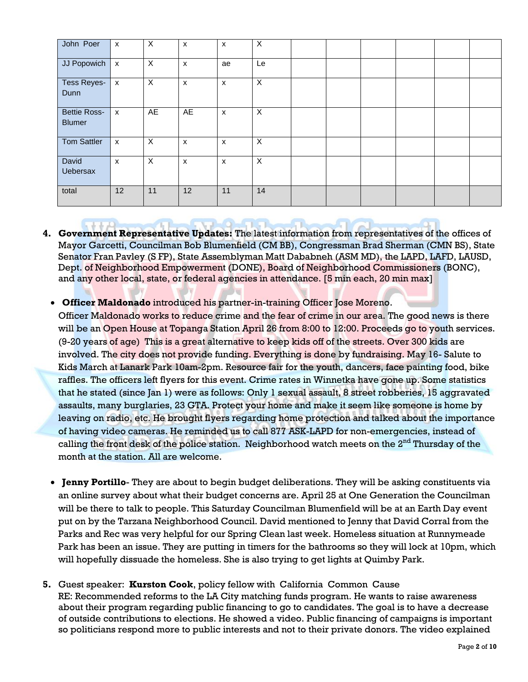| John Poer                            | $\boldsymbol{\mathsf{x}}$ | X              | X              | X                  | X                         |  |  |  |
|--------------------------------------|---------------------------|----------------|----------------|--------------------|---------------------------|--|--|--|
| JJ Popowich                          | $\boldsymbol{\mathsf{x}}$ | $\pmb{\times}$ | X              | ae                 | Le                        |  |  |  |
| <b>Tess Reyes-</b><br>Dunn           | $\mathsf{x}$              | $\pmb{\times}$ | $\pmb{\times}$ | $\pmb{\mathsf{X}}$ | X                         |  |  |  |
| <b>Bettie Ross-</b><br><b>Blumer</b> | $\boldsymbol{\mathsf{x}}$ | AE             | AE             | $\mathsf{x}$       | X                         |  |  |  |
| <b>Tom Sattler</b>                   | $\boldsymbol{\mathsf{x}}$ | $\pmb{\times}$ | $\pmb{\times}$ | $\pmb{\chi}$       | X                         |  |  |  |
| David<br><b>Uebersax</b>             | $\pmb{\chi}$              | $\pmb{\times}$ | $\pmb{\times}$ | X                  | $\boldsymbol{\mathsf{X}}$ |  |  |  |
| total                                | 12                        | 11             | 12             | 11                 | 14                        |  |  |  |

- **4. Government Representative Updates:** The latest information from representatives of the offices of Mayor Garcetti, Councilman Bob Blumenfield (CM BB), Congressman Brad Sherman (CMN BS), State Senator Fran Pavley (S FP), State Assemblyman Matt Dababneh (ASM MD), the LAPD, LAFD, LAUSD, Dept. of Neighborhood Empowerment (DONE), Board of Neighborhood Commissioners (BONC), and any other local, state, or federal agencies in attendance. [5 min each, 20 min max]
	- **Officer Maldonado** introduced his partner-in-training Officer Jose Moreno.

Officer Maldonado works to reduce crime and the fear of crime in our area. The good news is there will be an Open House at Topanga Station April 26 from 8:00 to 12:00. Proceeds go to youth services. (9-20 years of age) This is a great alternative to keep kids off of the streets. Over 300 kids are involved. The city does not provide funding. Everything is done by fundraising. May 16- Salute to Kids March at Lanark Park 10am-2pm. Resource fair for the youth, dancers, face painting food, bike raffles. The officers left flyers for this event. Crime rates in Winnetka have gone up. Some statistics that he stated (since Jan 1) were as follows: Only 1 sexual assault, 8 street robberies, 15 aggravated assaults, many burglaries, 23 GTA. Protect your home and make it seem like someone is home by leaving on radio, etc. He brought flyers regarding home protection and talked about the importance of having video cameras. He reminded us to call 877 ASK-LAPD for non-emergencies, instead of calling the front desk of the police station. Neighborhood watch meets on the 2<sup>nd</sup> Thursday of the month at the station. All are welcome.

- **Jenny Portillo** They are about to begin budget deliberations. They will be asking constituents via an online survey about what their budget concerns are. April 25 at One Generation the Councilman will be there to talk to people. This Saturday Councilman Blumenfield will be at an Earth Day event put on by the Tarzana Neighborhood Council. David mentioned to Jenny that David Corral from the Parks and Rec was very helpful for our Spring Clean last week. Homeless situation at Runnymeade Park has been an issue. They are putting in timers for the bathrooms so they will lock at 10pm, which will hopefully dissuade the homeless. She is also trying to get lights at Quimby Park.
- **5.** Guest speaker: **Kurston Cook**, policy fellow with California Common Cause RE: Recommended reforms to the LA City matching funds program. He wants to raise awareness about their program regarding public financing to go to candidates. The goal is to have a decrease of outside contributions to elections. He showed a video. Public financing of campaigns is important so politicians respond more to public interests and not to their private donors. The video explained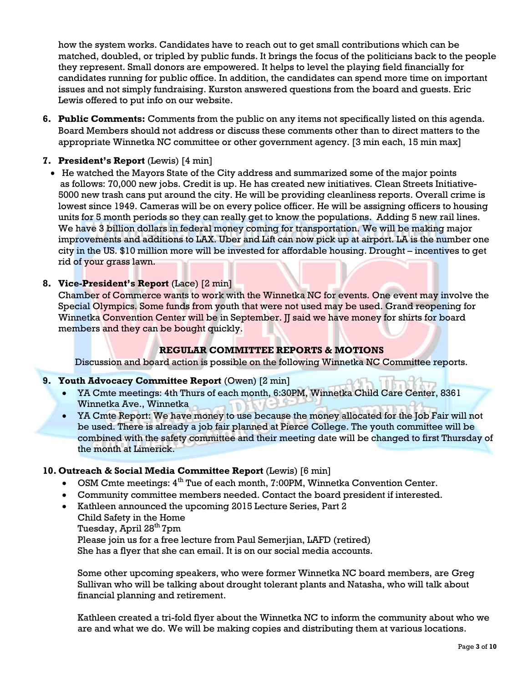how the system works. Candidates have to reach out to get small contributions which can be matched, doubled, or tripled by public funds. It brings the focus of the politicians back to the people they represent. Small donors are empowered. It helps to level the playing field financially for candidates running for public office. In addition, the candidates can spend more time on important issues and not simply fundraising. Kurston answered questions from the board and guests. Eric Lewis offered to put info on our website.

**6. Public Comments:** Comments from the public on any items not specifically listed on this agenda. Board Members should not address or discuss these comments other than to direct matters to the appropriate Winnetka NC committee or other government agency. [3 min each, 15 min max]

## **7. President's Report** (Lewis) [4 min]

• He watched the Mayors State of the City address and summarized some of the major points as follows: 70,000 new jobs. Credit is up. He has created new initiatives. Clean Streets Initiative-5000 new trash cans put around the city. He will be providing cleanliness reports. Overall crime is lowest since 1949. Cameras will be on every police officer. He will be assigning officers to housing units for 5 month periods so they can really get to know the populations. Adding 5 new rail lines. We have 3 billion dollars in federal money coming for transportation. We will be making major improvements and additions to LAX. Uber and Lift can now pick up at airport. LA is the number one city in the US. \$10 million more will be invested for affordable housing. Drought – incentives to get rid of your grass lawn.

## **8. Vice-President's Report** (Lace) [2 min]

Chamber of Commerce wants to work with the Winnetka NC for events. One event may involve the Special Olympics. Some funds from youth that were not used may be used. Grand reopening for Winnetka Convention Center will be in September. II said we have money for shirts for board members and they can be bought quickly.

## **REGULAR COMMITTEE REPORTS & MOTIONS**

Discussion and board action is possible on the following Winnetka NC Committee reports.

### **9. Youth Advocacy Committee Report** (Owen) [2 min]

- YA Cmte meetings: 4th Thurs of each month, 6:30PM, Winnetka Child Care Center, 8361 Winnetka Ave., Winnetka
- YA Cmte Report: We have money to use because the money allocated for the Job Fair will not be used. There is already a job fair planned at Pierce College. The youth committee will be combined with the safety committee and their meeting date will be changed to first Thursday of the month at Limerick.

## **10. Outreach & Social Media Committee Report** (Lewis) [6 min]

- OSM Cmte meetings: 4<sup>th</sup> Tue of each month, 7:00PM, Winnetka Convention Center.
- Community committee members needed. Contact the board president if interested.
- Kathleen announced the upcoming 2015 Lecture Series, Part 2
	- Child Safety in the Home
	- Tuesday, April 28<sup>th</sup> 7pm

Please join us for a free lecture from Paul Semerjian, LAFD (retired) She has a flyer that she can email. It is on our social media accounts.

Some other upcoming speakers, who were former Winnetka NC board members, are Greg Sullivan who will be talking about drought tolerant plants and Natasha, who will talk about financial planning and retirement.

Kathleen created a tri-fold flyer about the Winnetka NC to inform the community about who we are and what we do. We will be making copies and distributing them at various locations.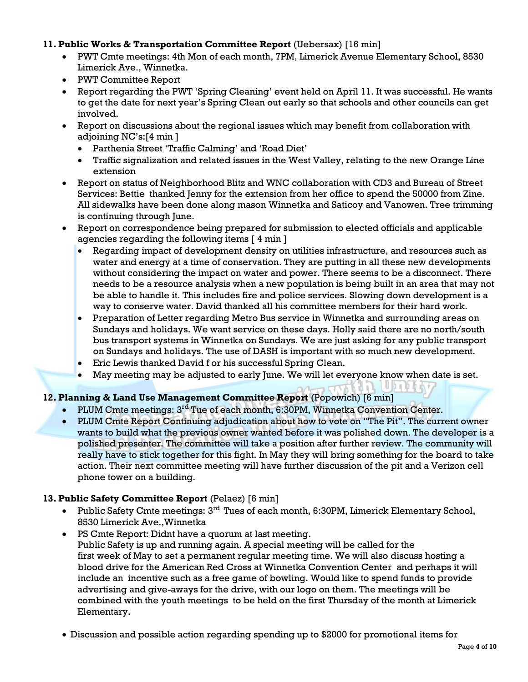## **11. Public Works & Transportation Committee Report** (Uebersax) [16 min]

- PWT Cmte meetings: 4th Mon of each month, 7PM, Limerick Avenue Elementary School, 8530 Limerick Ave., Winnetka.
- PWT Committee Report
- Report regarding the PWT 'Spring Cleaning' event held on April 11. It was successful. He wants to get the date for next year's Spring Clean out early so that schools and other councils can get involved.
- Report on discussions about the regional issues which may benefit from collaboration with adjoining NC's:[4 min ]
	- Parthenia Street 'Traffic Calming' and 'Road Diet'
	- Traffic signalization and related issues in the West Valley, relating to the new Orange Line extension
- Report on status of Neighborhood Blitz and WNC collaboration with CD3 and Bureau of Street Services: Bettie thanked Jenny for the extension from her office to spend the 50000 from Zine. All sidewalks have been done along mason Winnetka and Saticoy and Vanowen. Tree trimming is continuing through June.
- Report on correspondence being prepared for submission to elected officials and applicable agencies regarding the following items [ 4 min ]
	- Regarding impact of development density on utilities infrastructure, and resources such as water and energy at a time of conservation. They are putting in all these new developments without considering the impact on water and power. There seems to be a disconnect. There needs to be a resource analysis when a new population is being built in an area that may not be able to handle it. This includes fire and police services. Slowing down development is a way to conserve water. David thanked all his committee members for their hard work.
	- Preparation of Letter regarding Metro Bus service in Winnetka and surrounding areas on Sundays and holidays. We want service on these days. Holly said there are no north/south bus transport systems in Winnetka on Sundays. We are just asking for any public transport on Sundays and holidays. The use of DASH is important with so much new development.
	- Eric Lewis thanked David f or his successful Spring Clean.
	- May meeting may be adjusted to early June. We will let everyone know when date is set.

## **RAD Unit 12. Planning & Land Use Management Committee Report** (Popowich) [6 min]

- PLUM Cmte meetings: 3<sup>rd</sup> Tue of each month, 6:30PM, Winnetka Convention Center.
- PLUM Cmte Report Continuing adjudication about how to vote on "The Pit". The current owner wants to build what the previous owner wanted before it was polished down. The developer is a polished presenter. The committee will take a position after further review. The community will really have to stick together for this fight. In May they will bring something for the board to take action. Their next committee meeting will have further discussion of the pit and a Verizon cell phone tower on a building.

## **13. Public Safety Committee Report** (Pelaez) [6 min]

- Public Safety Cmte meetings:  $3<sup>rd</sup>$  Tues of each month, 6:30PM, Limerick Elementary School, 8530 Limerick Ave.,Winnetka
- PS Cmte Report: Didnt have a quorum at last meeting. Public Safety is up and running again. A special meeting will be called for the first week of May to set a permanent regular meeting time. We will also discuss hosting a blood drive for the American Red Cross at Winnetka Convention Center and perhaps it will include an incentive such as a free game of bowling. Would like to spend funds to provide advertising and give-aways for the drive, with our logo on them. The meetings will be combined with the youth meetings to be held on the first Thursday of the month at Limerick Elementary.
- Discussion and possible action regarding spending up to \$2000 for promotional items for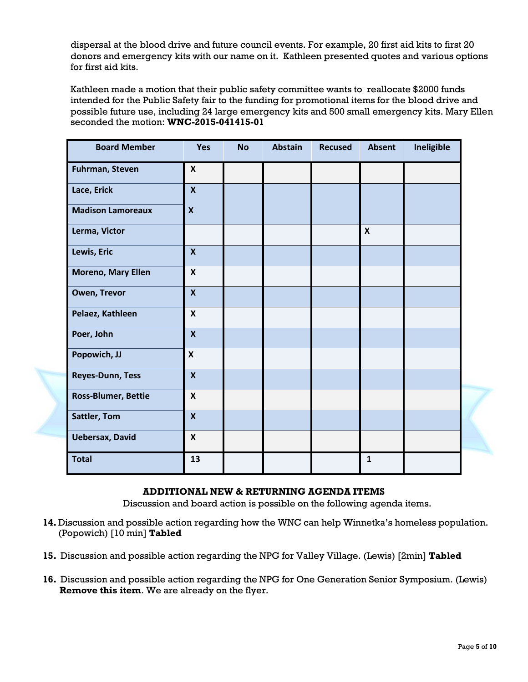dispersal at the blood drive and future council events. For example, 20 first aid kits to first 20 donors and emergency kits with our name on it. Kathleen presented quotes and various options for first aid kits.

Kathleen made a motion that their public safety committee wants to reallocate \$2000 funds intended for the Public Safety fair to the funding for promotional items for the blood drive and possible future use, including 24 large emergency kits and 500 small emergency kits. Mary Ellen seconded the motion: **WNC-2015-041415-01**

| <b>Board Member</b>        | Yes                       | <b>No</b> | <b>Abstain</b> | <b>Recused</b> | Absent                    | Ineligible |
|----------------------------|---------------------------|-----------|----------------|----------------|---------------------------|------------|
| <b>Fuhrman, Steven</b>     | $\boldsymbol{x}$          |           |                |                |                           |            |
| Lace, Erick                | $\mathsf{X}$              |           |                |                |                           |            |
| <b>Madison Lamoreaux</b>   | $\boldsymbol{x}$          |           |                |                |                           |            |
| Lerma, Victor              |                           |           |                |                | $\boldsymbol{\mathsf{X}}$ |            |
| Lewis, Eric                | $\mathbf x$               |           |                |                |                           |            |
| <b>Moreno, Mary Ellen</b>  | $\boldsymbol{\mathsf{x}}$ |           |                |                |                           |            |
| <b>Owen, Trevor</b>        | $\boldsymbol{x}$          |           |                |                |                           |            |
| Pelaez, Kathleen           | $\boldsymbol{\mathsf{x}}$ |           |                |                |                           |            |
| Poer, John                 | $\boldsymbol{X}$          |           |                |                |                           |            |
| Popowich, JJ               | $\boldsymbol{\mathsf{x}}$ |           |                |                |                           |            |
| <b>Reyes-Dunn, Tess</b>    | $\boldsymbol{x}$          |           |                |                |                           |            |
| <b>Ross-Blumer, Bettie</b> | $\boldsymbol{\mathsf{x}}$ |           |                |                |                           |            |
| <b>Sattler, Tom</b>        | $\boldsymbol{x}$          |           |                |                |                           |            |
| <b>Uebersax, David</b>     | $\boldsymbol{\mathsf{X}}$ |           |                |                |                           |            |
| <b>Total</b>               | 13                        |           |                |                | $\mathbf{1}$              |            |

### **ADDITIONAL NEW & RETURNING AGENDA ITEMS**

Discussion and board action is possible on the following agenda items.

- **14.** Discussion and possible action regarding how the WNC can help Winnetka's homeless population. (Popowich) [10 min] **Tabled**
- **15.** Discussion and possible action regarding the NPG for Valley Village. (Lewis) [2min] **Tabled**
- **16.** Discussion and possible action regarding the NPG for One Generation Senior Symposium. (Lewis) **Remove this item**. We are already on the flyer.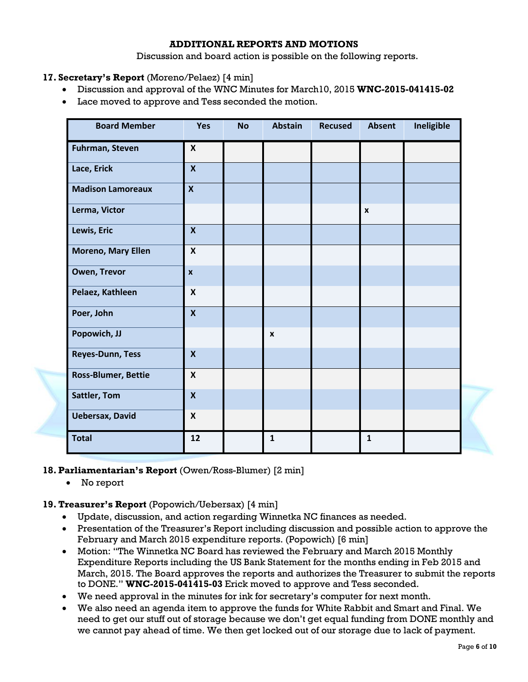### **ADDITIONAL REPORTS AND MOTIONS**

Discussion and board action is possible on the following reports.

- **17. Secretary's Report** (Moreno/Pelaez) [4 min]
	- Discussion and approval of the WNC Minutes for March10, 2015 **WNC-2015-041415-02**
	- Lace moved to approve and Tess seconded the motion.

| <b>Board Member</b>        | Yes                       | <b>No</b> | <b>Abstain</b>   | <b>Recused</b> | <b>Absent</b>      | Ineligible |
|----------------------------|---------------------------|-----------|------------------|----------------|--------------------|------------|
| Fuhrman, Steven            | $\boldsymbol{x}$          |           |                  |                |                    |            |
| Lace, Erick                | $\mathsf{X}$              |           |                  |                |                    |            |
| <b>Madison Lamoreaux</b>   | $\boldsymbol{x}$          |           |                  |                |                    |            |
| Lerma, Victor              |                           |           |                  |                | $\pmb{\mathsf{x}}$ |            |
| Lewis, Eric                | $\mathbf{x}$              |           |                  |                |                    |            |
| <b>Moreno, Mary Ellen</b>  | $\boldsymbol{\mathsf{x}}$ |           |                  |                |                    |            |
| Owen, Trevor               | $\pmb{\mathsf{x}}$        |           |                  |                |                    |            |
| Pelaez, Kathleen           | $\mathsf{x}$              |           |                  |                |                    |            |
| Poer, John                 | $\boldsymbol{x}$          |           |                  |                |                    |            |
| Popowich, JJ               |                           |           | $\boldsymbol{x}$ |                |                    |            |
| <b>Reyes-Dunn, Tess</b>    | $\mathsf{X}$              |           |                  |                |                    |            |
| <b>Ross-Blumer, Bettie</b> | $\boldsymbol{x}$          |           |                  |                |                    |            |
| Sattler, Tom               | $\boldsymbol{X}$          |           |                  |                |                    |            |
| <b>Uebersax, David</b>     | $\mathsf{X}$              |           |                  |                |                    |            |
| <b>Total</b>               | 12                        |           | $\mathbf{1}$     |                | $\mathbf{1}$       |            |

### **18. Parliamentarian's Report** (Owen/Ross-Blumer) [2 min]

No report

### **19. Treasurer's Report** (Popowich/Uebersax) [4 min]

- Update, discussion, and action regarding Winnetka NC finances as needed.
- Presentation of the Treasurer's Report including discussion and possible action to approve the February and March 2015 expenditure reports. (Popowich) [6 min]
- Motion: "The Winnetka NC Board has reviewed the February and March 2015 Monthly Expenditure Reports including the US Bank Statement for the months ending in Feb 2015 and March, 2015. The Board approves the reports and authorizes the Treasurer to submit the reports to DONE." **WNC-2015-041415-03** Erick moved to approve and Tess seconded.
- We need approval in the minutes for ink for secretary's computer for next month.
- We also need an agenda item to approve the funds for White Rabbit and Smart and Final. We need to get our stuff out of storage because we don't get equal funding from DONE monthly and we cannot pay ahead of time. We then get locked out of our storage due to lack of payment.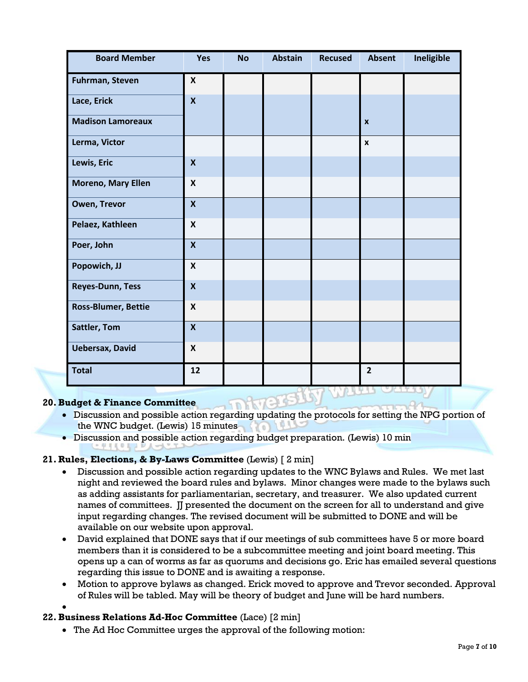| <b>Board Member</b>        | Yes                       | <b>No</b> | <b>Abstain</b> | <b>Recused</b> | <b>Absent</b>      | Ineligible |
|----------------------------|---------------------------|-----------|----------------|----------------|--------------------|------------|
| Fuhrman, Steven            | $\pmb{\mathsf{X}}$        |           |                |                |                    |            |
| Lace, Erick                | $\boldsymbol{\mathsf{x}}$ |           |                |                |                    |            |
| <b>Madison Lamoreaux</b>   |                           |           |                |                | $\boldsymbol{x}$   |            |
| Lerma, Victor              |                           |           |                |                | $\pmb{\mathsf{x}}$ |            |
| Lewis, Eric                | $\boldsymbol{x}$          |           |                |                |                    |            |
| <b>Moreno, Mary Ellen</b>  | $\boldsymbol{\mathsf{x}}$ |           |                |                |                    |            |
| Owen, Trevor               | $\boldsymbol{\mathsf{x}}$ |           |                |                |                    |            |
| Pelaez, Kathleen           | $\boldsymbol{\mathsf{X}}$ |           |                |                |                    |            |
| Poer, John                 | $\mathbf{x}$              |           |                |                |                    |            |
| Popowich, JJ               | $\boldsymbol{\mathsf{X}}$ |           |                |                |                    |            |
| <b>Reyes-Dunn, Tess</b>    | $\boldsymbol{\mathsf{X}}$ |           |                |                |                    |            |
| <b>Ross-Blumer, Bettie</b> | $\boldsymbol{\mathsf{X}}$ |           |                |                |                    |            |
| <b>Sattler, Tom</b>        | $\boldsymbol{X}$          |           |                |                |                    |            |
| <b>Uebersax, David</b>     | $\pmb{\mathsf{X}}$        |           |                |                |                    |            |
| <b>Total</b>               | 12                        |           |                |                | $\overline{2}$     |            |

## **20.Budget & Finance Committee**

- Discussion and possible action regarding updating the protocols for setting the NPG portion of the WNC budget. (Lewis) 15 minutes
- Discussion and possible action regarding budget preparation. (Lewis) 10 min

## **21. Rules, Elections, & By-Laws Committee** (Lewis) [ 2 min]

- Discussion and possible action regarding updates to the WNC Bylaws and Rules. We met last night and reviewed the board rules and bylaws. Minor changes were made to the bylaws such as adding assistants for parliamentarian, secretary, and treasurer. We also updated current names of committees. IJ presented the document on the screen for all to understand and give input regarding changes. The revised document will be submitted to DONE and will be available on our website upon approval.
- David explained that DONE says that if our meetings of sub committees have 5 or more board members than it is considered to be a subcommittee meeting and joint board meeting. This opens up a can of worms as far as quorums and decisions go. Eric has emailed several questions regarding this issue to DONE and is awaiting a response.
- Motion to approve bylaws as changed. Erick moved to approve and Trevor seconded. Approval of Rules will be tabled. May will be theory of budget and June will be hard numbers.
- $\bullet$

## **22.Business Relations Ad-Hoc Committee** (Lace) [2 min]

The Ad Hoc Committee urges the approval of the following motion: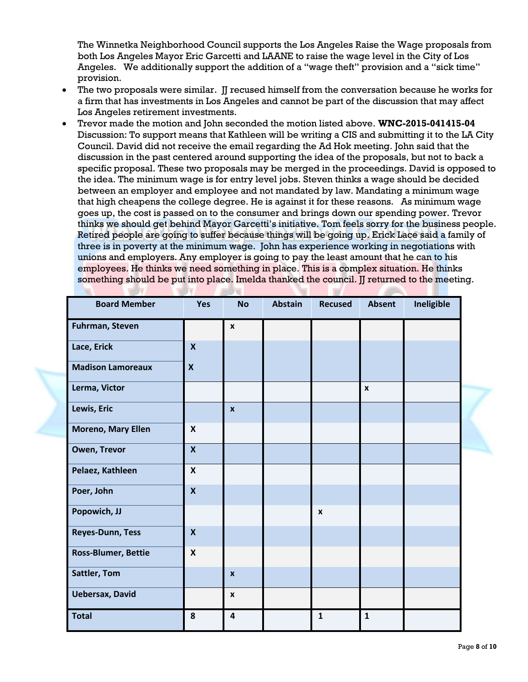The Winnetka Neighborhood Council supports the Los Angeles Raise the Wage proposals from both Los Angeles Mayor Eric Garcetti and LAANE to raise the wage level in the City of Los Angeles. We additionally support the addition of a "wage theft" provision and a "sick time" provision.

- The two proposals were similar. I recused himself from the conversation because he works for a firm that has investments in Los Angeles and cannot be part of the discussion that may affect Los Angeles retirement investments.
- Trevor made the motion and John seconded the motion listed above. **WNC-2015-041415-04** Discussion: To support means that Kathleen will be writing a CIS and submitting it to the LA City Council. David did not receive the email regarding the Ad Hok meeting. John said that the discussion in the past centered around supporting the idea of the proposals, but not to back a specific proposal. These two proposals may be merged in the proceedings. David is opposed to the idea. The minimum wage is for entry level jobs. Steven thinks a wage should be decided between an employer and employee and not mandated by law. Mandating a minimum wage that high cheapens the college degree. He is against it for these reasons. As minimum wage goes up, the cost is passed on to the consumer and brings down our spending power. Trevor thinks we should get behind Mayor Garcetti's initiative. Tom feels sorry for the business people. Retired people are going to suffer because things will be going up. Erick Lace said a family of three is in poverty at the minimum wage. John has experience working in negotiations with unions and employers. Any employer is going to pay the least amount that he can to his employees. He thinks we need something in place. This is a complex situation. He thinks something should be put into place. Imelda thanked the council. II returned to the meeting.

**Contract Contract Contract** 

**Sept 11** 

**THE REAL PROPERTY AND INCOME.** 

| <b>Board Member</b>        | Yes                       | <b>No</b>               | <b>Abstain</b> | <b>Recused</b> | <b>Absent</b> | Ineligible |  |
|----------------------------|---------------------------|-------------------------|----------------|----------------|---------------|------------|--|
| Fuhrman, Steven            |                           | $\pmb{\mathsf{x}}$      |                |                |               |            |  |
| Lace, Erick                | $\boldsymbol{x}$          |                         |                |                |               |            |  |
| <b>Madison Lamoreaux</b>   | $\boldsymbol{\mathsf{X}}$ |                         |                |                |               |            |  |
| Lerma, Victor              |                           |                         |                |                | $\pmb{\chi}$  |            |  |
| Lewis, Eric                |                           | $\mathbf{x}$            |                |                |               |            |  |
| Moreno, Mary Ellen         | $\boldsymbol{x}$          |                         |                |                |               |            |  |
| Owen, Trevor               | $\boldsymbol{x}$          |                         |                |                |               |            |  |
| Pelaez, Kathleen           | $\boldsymbol{x}$          |                         |                |                |               |            |  |
| Poer, John                 | $\mathbf{x}$              |                         |                |                |               |            |  |
| Popowich, JJ               |                           |                         |                | $\pmb{\chi}$   |               |            |  |
| <b>Reyes-Dunn, Tess</b>    | $\boldsymbol{X}$          |                         |                |                |               |            |  |
| <b>Ross-Blumer, Bettie</b> | $\boldsymbol{\mathsf{x}}$ |                         |                |                |               |            |  |
| <b>Sattler, Tom</b>        |                           | $\boldsymbol{x}$        |                |                |               |            |  |
| <b>Uebersax, David</b>     |                           | $\boldsymbol{x}$        |                |                |               |            |  |
| <b>Total</b>               | 8                         | $\overline{\mathbf{4}}$ |                | $\mathbf{1}$   | $\mathbf{1}$  |            |  |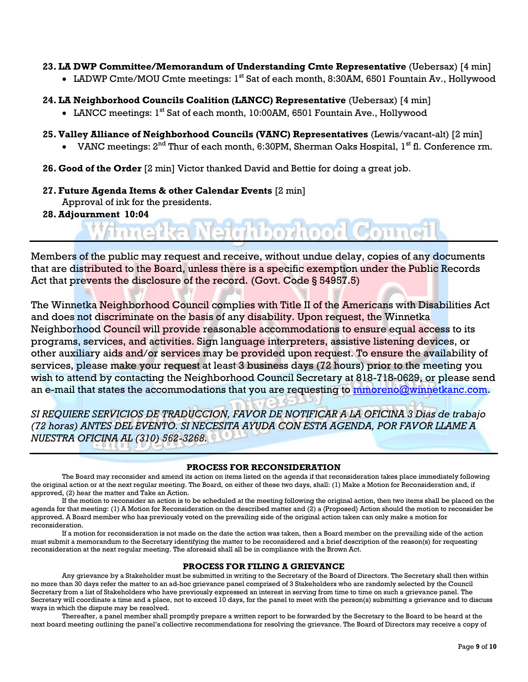#### **23. LA DWP Committee/Memorandum of Understanding Cmte Representative** (Uebersax) [4 min]

- LADWP Cmte/MOU Cmte meetings: 1<sup>st</sup> Sat of each month, 8:30AM, 6501 Fountain Av., Hollywood
- **24. LA Neighborhood Councils Coalition (LANCC) Representative** (Uebersax) [4 min]
	- LANCC meetings: 1<sup>st</sup> Sat of each month, 10:00AM, 6501 Fountain Ave., Hollywood
- **25.Valley Alliance of Neighborhood Councils (VANC) Representatives** (Lewis/vacant-alt) [2 min]
	- VANC meetings:  $2^{nd}$  Thur of each month, 6:30PM, Sherman Oaks Hospital,  $1^{st}$  fl. Conference rm.

deliberheed Council

- **26. Good of the Order** [2 min] Victor thanked David and Bettie for doing a great job.
- **27. Future Agenda Items & other Calendar Events** [2 min]

Approval of ink for the presidents.

mnet

**28.Adjournment 10:04**

Members of the public may request and receive, without undue delay, copies of any documents that are distributed to the Board, unless there is a specific exemption under the Public Records Act that prevents the disclosure of the record. (Govt. Code § 54957.5)

The Winnetka Neighborhood Council complies with Title II of the Americans with Disabilities Act and does not discriminate on the basis of any disability. Upon request, the Winnetka Neighborhood Council will provide reasonable accommodations to ensure equal access to its programs, services, and activities. Sign language interpreters, assistive listening devices, or other auxiliary aids and/or services may be provided upon request. To ensure the availability of services, please make your request at least 3 business days (72 hours) prior to the meeting you wish to attend by contacting the Neighborhood Council Secretary at 818-718-0629, or please send an e-mail that states the accommodations that you are requesting to **mmoreno@winnetkanc.com**.

*SI REQUIERE SERVICIOS DE TRADUCCION, FAVOR DE NOTIFICAR A LA OFICINA 3 Dias de trabajo (72 horas) ANTES DEL EVENTO. SI NECESITA AYUDA CON ESTA AGENDA, POR FAVOR LLAME A NUESTRA OFICINA AL (310) 562-3268.*

#### **PROCESS FOR RECONSIDERATION**

The Board may reconsider and amend its action on items listed on the agenda if that reconsideration takes place immediately following the original action or at the next regular meeting. The Board, on either of these two days, shall: (1) Make a Motion for Reconsideration and, if approved, (2) hear the matter and Take an Action.

If the motion to reconsider an action is to be scheduled at the meeting following the original action, then two items shall be placed on the agenda for that meeting: (1) A Motion for Reconsideration on the described matter and (2) a {Proposed} Action should the motion to reconsider be approved. A Board member who has previously voted on the prevailing side of the original action taken can only make a motion for reconsideration.

If a motion for reconsideration is not made on the date the action was taken, then a Board member on the prevailing side of the action must submit a memorandum to the Secretary identifying the matter to be reconsidered and a brief description of the reason(s) for requesting reconsideration at the next regular meeting. The aforesaid shall all be in compliance with the Brown Act.

#### **PROCESS FOR FILING A GRIEVANCE**

Any grievance by a Stakeholder must be submitted in writing to the Secretary of the Board of Directors. The Secretary shall then within no more than 30 days refer the matter to an ad-hoc grievance panel comprised of 3 Stakeholders who are randomly selected by the Council Secretary from a list of Stakeholders who have previously expressed an interest in serving from time to time on such a grievance panel. The Secretary will coordinate a time and a place, not to exceed 10 days, for the panel to meet with the person(s) submitting a grievance and to discuss ways in which the dispute may be resolved.

Thereafter, a panel member shall promptly prepare a written report to be forwarded by the Secretary to the Board to be heard at the next board meeting outlining the panel's collective recommendations for resolving the grievance. The Board of Directors may receive a copy of